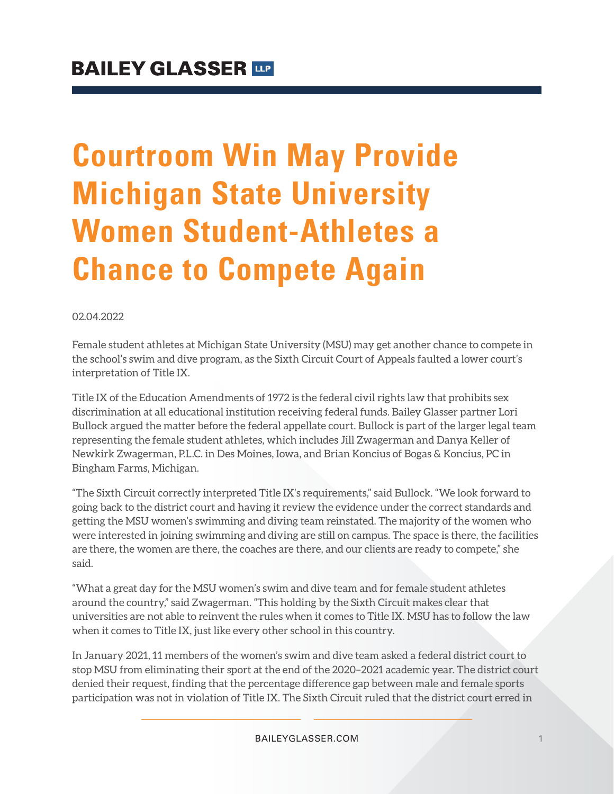# **Courtroom Win May Provide Michigan State University Women Student-Athletes a Chance to Compete Again**

#### 02.04.2022

Female student athletes at Michigan State University (MSU) may get another chance to compete in the school's swim and dive program, as the Sixth Circuit Court of Appeals faulted a lower court's interpretation of Title IX.

Title IX of the Education Amendments of 1972 is the federal civil rights law that prohibits sex discrimination at all educational institution receiving federal funds. Bailey Glasser partner Lori Bullock argued the matter before the federal appellate court. Bullock is part of the larger legal team representing the female student athletes, which includes Jill Zwagerman and Danya Keller of Newkirk Zwagerman, P.L.C. in Des Moines, Iowa, and Brian Koncius of Bogas & Koncius, PC in Bingham Farms, Michigan.

"The Sixth Circuit correctly interpreted Title IX's requirements," said Bullock. "We look forward to going back to the district court and having it review the evidence under the correct standards and getting the MSU women's swimming and diving team reinstated. The majority of the women who were interested in joining swimming and diving are still on campus. The space is there, the facilities are there, the women are there, the coaches are there, and our clients are ready to compete," she said.

"What a great day for the MSU women's swim and dive team and for female student athletes around the country," said Zwagerman. "This holding by the Sixth Circuit makes clear that universities are not able to reinvent the rules when it comes to Title IX. MSU has to follow the law when it comes to Title IX, just like every other school in this country.

In January 2021, 11 members of the women's swim and dive team asked a federal district court to stop MSU from eliminating their sport at the end of the 2020–2021 academic year. The district court denied their request, finding that the percentage difference gap between male and female sports participation was not in violation of Title IX. The Sixth Circuit ruled that the district court erred in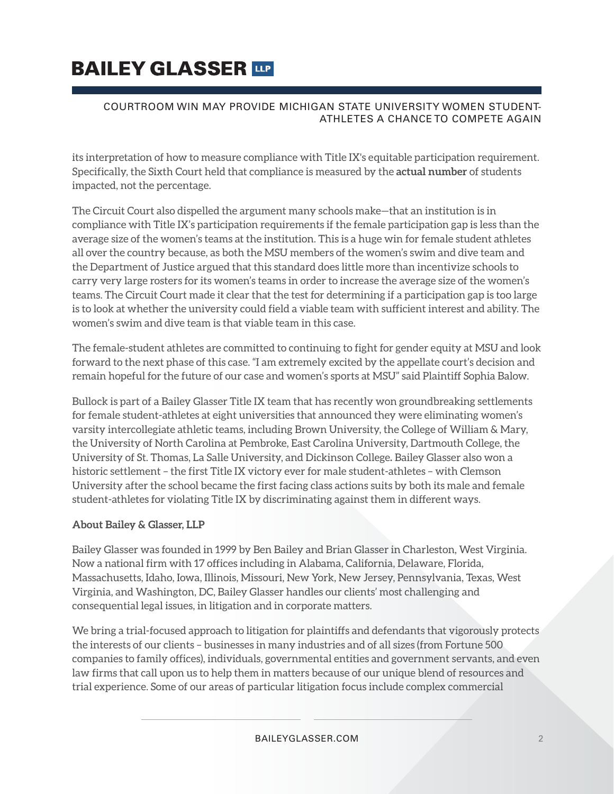# **BAILEY GLASSER TIP**

#### COURTROOM WIN MAY PROVIDE MICHIGAN STATE UNIVERSITY WOMEN STUDENT-ATHLETES A CHANCE TO COMPETE AGAIN

its interpretation of how to measure compliance with Title IX's equitable participation requirement. Specifically, the Sixth Court held that compliance is measured by the **actual number** of students impacted, not the percentage.

The Circuit Court also dispelled the argument many schools make—that an institution is in compliance with Title IX's participation requirements if the female participation gap is less than the average size of the women's teams at the institution. This is a huge win for female student athletes all over the country because, as both the MSU members of the women's swim and dive team and the Department of Justice argued that this standard does little more than incentivize schools to carry very large rosters for its women's teams in order to increase the average size of the women's teams. The Circuit Court made it clear that the test for determining if a participation gap is too large is to look at whether the university could field a viable team with sufficient interest and ability. The women's swim and dive team is that viable team in this case.

The female-student athletes are committed to continuing to fight for gender equity at MSU and look forward to the next phase of this case. "I am extremely excited by the appellate court's decision and remain hopeful for the future of our case and women's sports at MSU" said Plaintiff Sophia Balow.

Bullock is part of a Bailey Glasser Title IX team that has recently won groundbreaking settlements for female student-athletes at eight universities that announced they were eliminating women's varsity intercollegiate athletic teams, including Brown University, the College of William & Mary, the University of North Carolina at Pembroke, East Carolina University, Dartmouth College, the University of St. Thomas, La Salle University, and Dickinson College**.** Bailey Glasser also won a historic settlement – the first Title IX victory ever for male student-athletes – with Clemson University after the school became the first facing class actions suits by both its male and female student-athletes for violating Title IX by discriminating against them in different ways.

#### **About Bailey & Glasser, LLP**

Bailey Glasser was founded in 1999 by Ben Bailey and Brian Glasser in Charleston, West Virginia. Now a national firm with 17 offices including in Alabama, California, Delaware, Florida, Massachusetts, Idaho, Iowa, Illinois, Missouri, New York, New Jersey, Pennsylvania, Texas, West Virginia, and Washington, DC, Bailey Glasser handles our clients' most challenging and consequential legal issues, in litigation and in corporate matters.

We bring a trial-focused approach to litigation for plaintiffs and defendants that vigorously protects the interests of our clients – businesses in many industries and of all sizes (from Fortune 500 companies to family offices), individuals, governmental entities and government servants, and even law firms that call upon us to help them in matters because of our unique blend of resources and trial experience. Some of our areas of particular litigation focus include complex commercial